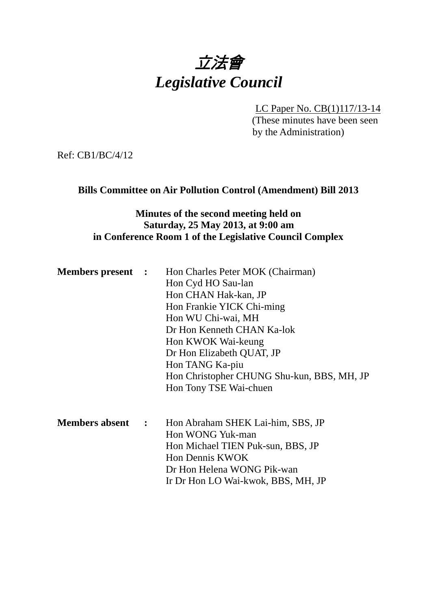

LC Paper No. CB(1)117/13-14 (These minutes have been seen by the Administration)

Ref: CB1/BC/4/12

### **Bills Committee on Air Pollution Control (Amendment) Bill 2013**

# **Minutes of the second meeting held on Saturday, 25 May 2013, at 9:00 am in Conference Room 1 of the Legislative Council Complex**

| <b>Members present :</b> |                      | Hon Charles Peter MOK (Chairman)<br>Hon Cyd HO Sau-lan<br>Hon CHAN Hak-kan, JP<br>Hon Frankie YICK Chi-ming<br>Hon WU Chi-wai, MH<br>Dr Hon Kenneth CHAN Ka-lok<br>Hon KWOK Wai-keung<br>Dr Hon Elizabeth QUAT, JP<br>Hon TANG Ka-piu<br>Hon Christopher CHUNG Shu-kun, BBS, MH, JP<br>Hon Tony TSE Wai-chuen |
|--------------------------|----------------------|---------------------------------------------------------------------------------------------------------------------------------------------------------------------------------------------------------------------------------------------------------------------------------------------------------------|
| <b>Members absent</b>    | $\ddot{\phantom{a}}$ | Hon Abraham SHEK Lai-him, SBS, JP<br>Hon WONG Yuk-man<br>Hon Michael TIEN Puk-sun, BBS, JP<br>Hon Dennis KWOK<br>Dr Hon Helena WONG Pik-wan<br>Ir Dr Hon LO Wai-kwok, BBS, MH, JP                                                                                                                             |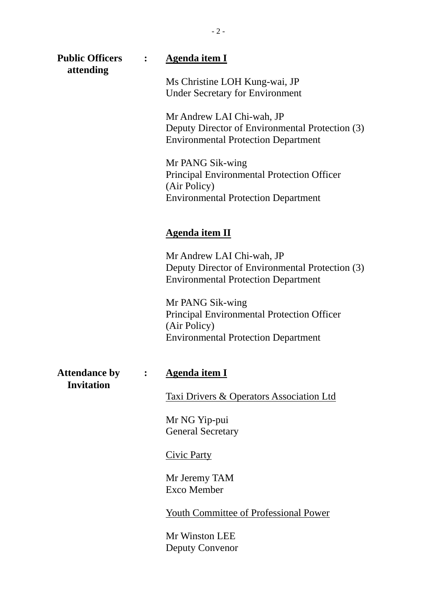| <b>Public Officers</b><br>attending       | <b>Agenda item I</b>                                                                                                                |
|-------------------------------------------|-------------------------------------------------------------------------------------------------------------------------------------|
|                                           | Ms Christine LOH Kung-wai, JP<br><b>Under Secretary for Environment</b>                                                             |
|                                           | Mr Andrew LAI Chi-wah, JP<br>Deputy Director of Environmental Protection (3)<br><b>Environmental Protection Department</b>          |
|                                           | Mr PANG Sik-wing<br><b>Principal Environmental Protection Officer</b><br>(Air Policy)<br><b>Environmental Protection Department</b> |
|                                           | <b>Agenda item II</b>                                                                                                               |
|                                           | Mr Andrew LAI Chi-wah, JP<br>Deputy Director of Environmental Protection (3)<br><b>Environmental Protection Department</b>          |
|                                           | Mr PANG Sik-wing<br>Principal Environmental Protection Officer<br>(Air Policy)<br><b>Environmental Protection Department</b>        |
| <b>Attendance by</b><br><b>Invitation</b> | <u>Agenda item I</u>                                                                                                                |
|                                           | Taxi Drivers & Operators Association Ltd                                                                                            |
|                                           | Mr NG Yip-pui<br><b>General Secretary</b>                                                                                           |
|                                           | <b>Civic Party</b>                                                                                                                  |
|                                           | Mr Jeremy TAM<br><b>Exco Member</b>                                                                                                 |
|                                           | <b>Youth Committee of Professional Power</b>                                                                                        |
|                                           | Mr Winston LEE<br><b>Deputy Convenor</b>                                                                                            |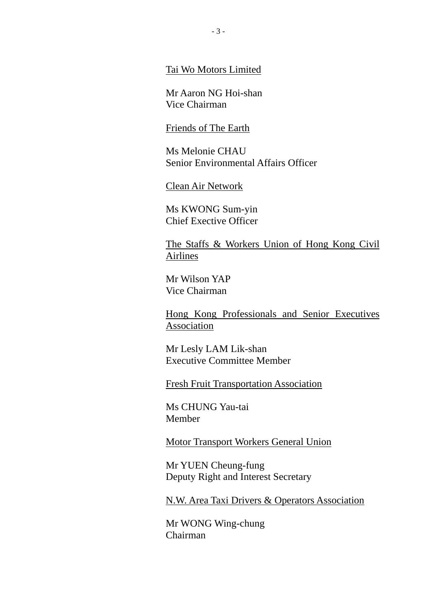Tai Wo Motors Limited

Mr Aaron NG Hoi-shan Vice Chairman

#### Friends of The Earth

Ms Melonie CHAU Senior Environmental Affairs Officer

Clean Air Network

Ms KWONG Sum-yin Chief Exective Officer

The Staffs & Workers Union of Hong Kong Civil Airlines

Mr Wilson YAP Vice Chairman

Hong Kong Professionals and Senior Executives Association

Mr Lesly LAM Lik-shan Executive Committee Member

Fresh Fruit Transportation Association

Ms CHUNG Yau-tai Member

Motor Transport Workers General Union

Mr YUEN Cheung-fung Deputy Right and Interest Secretary

N.W. Area Taxi Drivers & Operators Association

Mr WONG Wing-chung Chairman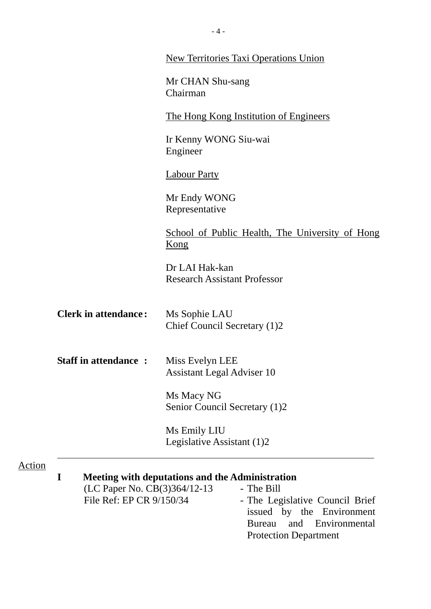|                                                               | <b>New Territories Taxi Operations Union</b>                                                                                                                        |
|---------------------------------------------------------------|---------------------------------------------------------------------------------------------------------------------------------------------------------------------|
|                                                               | Mr CHAN Shu-sang<br>Chairman                                                                                                                                        |
|                                                               | <u>The Hong Kong Institution of Engineers</u>                                                                                                                       |
|                                                               | Ir Kenny WONG Siu-wai<br>Engineer                                                                                                                                   |
|                                                               | <b>Labour Party</b>                                                                                                                                                 |
|                                                               | Mr Endy WONG<br>Representative                                                                                                                                      |
|                                                               | School of Public Health, The University of Hong<br>Kong                                                                                                             |
|                                                               | Dr LAI Hak-kan<br><b>Research Assistant Professor</b>                                                                                                               |
| <b>Clerk in attendance:</b>                                   | Ms Sophie LAU<br>Chief Council Secretary (1)2                                                                                                                       |
| <b>Staff in attendance:</b>                                   | Miss Evelyn LEE<br><b>Assistant Legal Adviser 10</b>                                                                                                                |
|                                                               | Ms Macy NG<br>Senior Council Secretary (1)2                                                                                                                         |
|                                                               | Ms Emily LIU<br>Legislative Assistant (1)2                                                                                                                          |
| I<br>(LC Paper No. CB(3)364/12-13<br>File Ref: EP CR 9/150/34 | <b>Meeting with deputations and the Administration</b><br>- The Bill<br>- The Legislative Council Brief<br>issued by the Environment<br>and Environmental<br>Bureau |

Protection Department

Action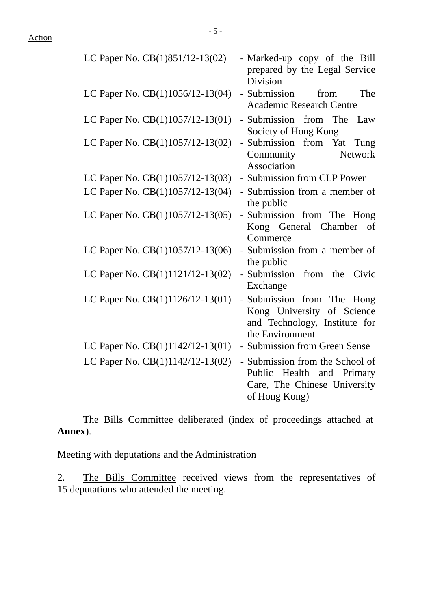| LC Paper No. CB(1)851/12-13(02)    | - Marked-up copy of the Bill<br>prepared by the Legal Service<br>Division                                        |
|------------------------------------|------------------------------------------------------------------------------------------------------------------|
| LC Paper No. CB(1)1056/12-13(04)   | - Submission<br>The<br>from<br><b>Academic Research Centre</b>                                                   |
| LC Paper No. CB(1)1057/12-13(01)   | - Submission from The<br>Law<br>Society of Hong Kong                                                             |
| LC Paper No. CB(1)1057/12-13(02)   | - Submission from Yat Tung<br>Community<br><b>Network</b><br>Association                                         |
| LC Paper No. CB(1)1057/12-13(03)   | - Submission from CLP Power                                                                                      |
| LC Paper No. CB(1)1057/12-13(04)   | - Submission from a member of<br>the public                                                                      |
| LC Paper No. $CB(1)1057/12-13(05)$ | - Submission from The Hong<br>Kong General Chamber<br>of<br>Commerce                                             |
| LC Paper No. CB(1)1057/12-13(06)   | - Submission from a member of<br>the public                                                                      |
| LC Paper No. CB(1)1121/12-13(02)   | - Submission from the<br>Civic<br>Exchange                                                                       |
| LC Paper No. CB(1)1126/12-13(01)   | - Submission from The Hong<br>Kong University of Science<br>and Technology, Institute for<br>the Environment     |
| LC Paper No. $CB(1)1142/12-13(01)$ | - Submission from Green Sense                                                                                    |
| LC Paper No. CB(1)1142/12-13(02)   | - Submission from the School of<br>Public Health<br>and Primary<br>Care, The Chinese University<br>of Hong Kong) |

 The Bills Committee deliberated (index of proceedings attached at **Annex**).

Meeting with deputations and the Administration

2. The Bills Committee received views from the representatives of 15 deputations who attended the meeting.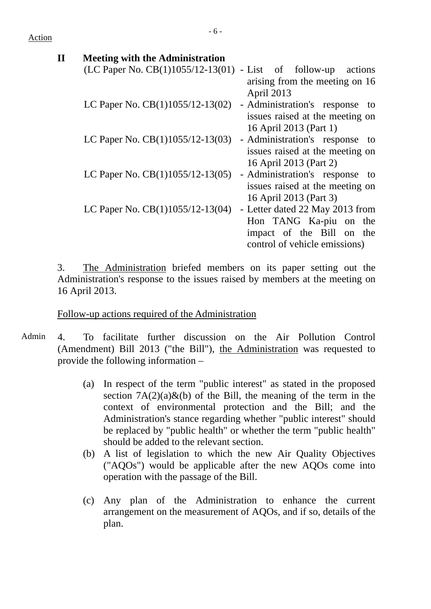Action

# **II Meeting with the Administration**  $(LC$  Paper No.  $CB(1)1055/12-13(01)$  - List of follow-up actions arising from the meeting on 16 April 2013 LC Paper No.  $CB(1)1055/12-13(02)$  - Administration's response to issues raised at the meeting on 16 April 2013 (Part 1) LC Paper No. CB(1)1055/12-13(03) - Administration's response to issues raised at the meeting on 16 April 2013 (Part 2) LC Paper No. CB(1)1055/12-13(05) - Administration's response to issues raised at the meeting on

16 April 2013 (Part 3) LC Paper No. CB(1)1055/12-13(04) - Letter dated 22 May 2013 from Hon TANG Ka-piu on the impact of the Bill on the control of vehicle emissions)

3. The Administration briefed members on its paper setting out the Administration's response to the issues raised by members at the meeting on 16 April 2013.

### Follow-up actions required of the Administration

- Admin 4. To facilitate further discussion on the Air Pollution Control (Amendment) Bill 2013 ("the Bill"), the Administration was requested to provide the following information –
	- (a) In respect of the term "public interest" as stated in the proposed section  $7A(2)(a) \& (b)$  of the Bill, the meaning of the term in the context of environmental protection and the Bill; and the Administration's stance regarding whether "public interest" should be replaced by "public health" or whether the term "public health" should be added to the relevant section.
	- (b) A list of legislation to which the new Air Quality Objectives ("AQOs") would be applicable after the new AQOs come into operation with the passage of the Bill.
	- (c) Any plan of the Administration to enhance the current arrangement on the measurement of AQOs, and if so, details of the plan.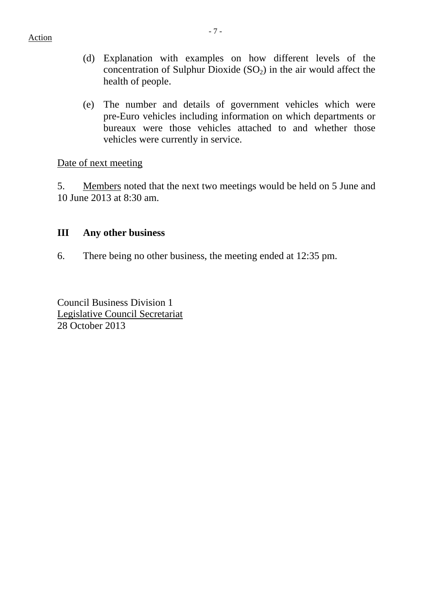- (d) Explanation with examples on how different levels of the concentration of Sulphur Dioxide  $(SO<sub>2</sub>)$  in the air would affect the health of people.
- (e) The number and details of government vehicles which were pre-Euro vehicles including information on which departments or bureaux were those vehicles attached to and whether those vehicles were currently in service.

Date of next meeting

5. Members noted that the next two meetings would be held on 5 June and 10 June 2013 at 8:30 am.

## **III Any other business**

6. There being no other business, the meeting ended at 12:35 pm.

Council Business Division 1 Legislative Council Secretariat 28 October 2013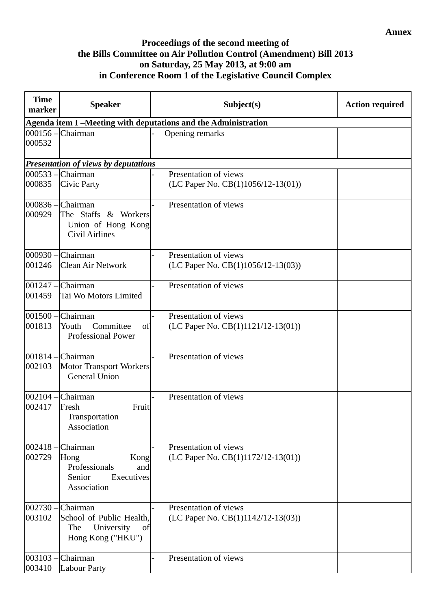#### **Annex**

### **Proceedings of the second meeting of the Bills Committee on Air Pollution Control (Amendment) Bill 2013 on Saturday, 25 May 2013, at 9:00 am in Conference Room 1 of the Legislative Council Complex**

| <b>Time</b><br>marker | <b>Speaker</b>                                                                                  | Subject(s)                                                     | <b>Action required</b> |
|-----------------------|-------------------------------------------------------------------------------------------------|----------------------------------------------------------------|------------------------|
|                       |                                                                                                 | Agenda item I-Meeting with deputations and the Administration  |                        |
| 000532                | $000156$ - Chairman                                                                             | Opening remarks                                                |                        |
|                       | Presentation of views by deputations                                                            |                                                                |                        |
| $000533 -$<br>000835  | Chairman<br>Civic Party                                                                         | Presentation of views<br>(LC Paper No. $CB(1)1056/12-13(01)$ ) |                        |
| 000929                | 000836 - Chairman<br>The Staffs & Workers<br>Union of Hong Kong<br><b>Civil Airlines</b>        | Presentation of views                                          |                        |
| 000930 -<br>001246    | Chairman<br><b>Clean Air Network</b>                                                            | Presentation of views<br>(LC Paper No. CB(1)1056/12-13(03))    |                        |
| 001459                | $ 001247 - C$ hairman<br>Tai Wo Motors Limited                                                  | Presentation of views                                          |                        |
| 001813                | $ 001500 - C$ hairman<br>Committee<br>Youth<br>of<br><b>Professional Power</b>                  | Presentation of views<br>(LC Paper No. CB(1)1121/12-13(01))    |                        |
| $001814 -$<br>002103  | Chairman<br><b>Motor Transport Workers</b><br><b>General Union</b>                              | Presentation of views                                          |                        |
| $002104 -$<br>002417  | Chairman<br>Fruit<br>Fresh<br>Transportation<br>Association                                     | Presentation of views                                          |                        |
| $002418 -$<br>002729  | Chairman<br>Kong<br>Hong<br>Professionals<br>and<br>Senior<br>Executives<br>Association         | Presentation of views<br>(LC Paper No. $CB(1)1172/12-13(01)$ ) |                        |
| 003102                | $002730$ – Chairman<br>School of Public Health,<br>University<br>The<br>of<br>Hong Kong ("HKU") | Presentation of views<br>(LC Paper No. $CB(1)1142/12-13(03)$ ) |                        |
| $003103 -$<br>003410  | Chairman<br><b>Labour Party</b>                                                                 | Presentation of views                                          |                        |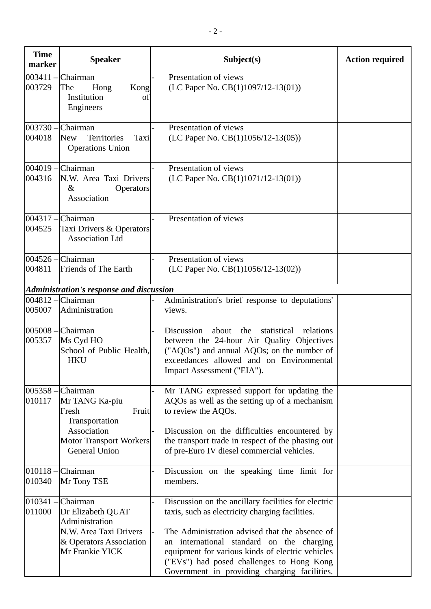| <b>Time</b><br>marker | <b>Speaker</b>                                                                                                                          | Subject(s)                                                                                                                                                                                                                                                                                                                                             | <b>Action required</b> |
|-----------------------|-----------------------------------------------------------------------------------------------------------------------------------------|--------------------------------------------------------------------------------------------------------------------------------------------------------------------------------------------------------------------------------------------------------------------------------------------------------------------------------------------------------|------------------------|
| 003411<br>003729      | Chairman<br>The<br>Hong<br>Kong<br>Institution<br>οf<br>Engineers                                                                       | Presentation of views<br>(LC Paper No. $CB(1)1097/12-13(01)$ )                                                                                                                                                                                                                                                                                         |                        |
| $003730 -$<br>004018  | Chairman<br>Territories<br><b>New</b><br>Taxi<br><b>Operations Union</b>                                                                | Presentation of views<br>(LC Paper No. $CB(1)1056/12-13(05))$                                                                                                                                                                                                                                                                                          |                        |
| 004316                | $004019$ – Chairman<br>N.W. Area Taxi Drivers<br>$\&$<br><b>Operators</b><br>Association                                                | Presentation of views<br>(LC Paper No. $CB(1)1071/12-13(01)$ )                                                                                                                                                                                                                                                                                         |                        |
| 004525                | $004317 -$ Chairman<br>Taxi Drivers & Operators<br><b>Association Ltd</b>                                                               | Presentation of views                                                                                                                                                                                                                                                                                                                                  |                        |
| 004526 -<br>004811    | Chairman<br>Friends of The Earth                                                                                                        | Presentation of views<br>(LC Paper No. CB(1)1056/12-13(02))                                                                                                                                                                                                                                                                                            |                        |
|                       | Administration's response and discussion                                                                                                |                                                                                                                                                                                                                                                                                                                                                        |                        |
| 004812<br>005007      | Chairman<br>Administration                                                                                                              | Administration's brief response to deputations'<br>views.                                                                                                                                                                                                                                                                                              |                        |
| $005008 -$<br>005357  | Chairman<br>Ms Cyd HO<br>School of Public Health,<br><b>HKU</b>                                                                         | Discussion<br>statistical<br>about<br>the<br>relations<br>between the 24-hour Air Quality Objectives<br>("AQOs") and annual AQOs; on the number of<br>exceedances allowed and on Environmental<br>Impact Assessment ("EIA").                                                                                                                           |                        |
| 005358<br>010117      | Chairman<br>Mr TANG Ka-piu<br>Fresh<br>Fruit<br>Transportation<br>Association<br><b>Motor Transport Workers</b><br><b>General Union</b> | Mr TANG expressed support for updating the<br>AQOs as well as the setting up of a mechanism<br>to review the AQOs.<br>Discussion on the difficulties encountered by<br>the transport trade in respect of the phasing out<br>of pre-Euro IV diesel commercial vehicles.                                                                                 |                        |
| 010118-<br>010340     | Chairman<br>Mr Tony TSE                                                                                                                 | Discussion on the speaking time limit for<br>members.                                                                                                                                                                                                                                                                                                  |                        |
| 010341<br>011000      | Chairman<br>Dr Elizabeth QUAT<br>Administration<br>N.W. Area Taxi Drivers<br>& Operators Association<br>Mr Frankie YICK                 | Discussion on the ancillary facilities for electric<br>taxis, such as electricity charging facilities.<br>The Administration advised that the absence of<br>an international standard on the charging<br>equipment for various kinds of electric vehicles<br>("EVs") had posed challenges to Hong Kong<br>Government in providing charging facilities. |                        |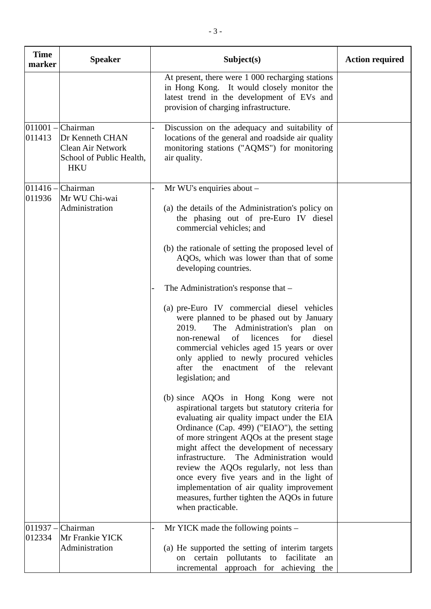| <b>Time</b><br>marker | <b>Speaker</b>                                                                                    | Subject(s)                                                                                                                                                                                                                                                                                                                                                                                                                                                                                                                              | <b>Action required</b> |
|-----------------------|---------------------------------------------------------------------------------------------------|-----------------------------------------------------------------------------------------------------------------------------------------------------------------------------------------------------------------------------------------------------------------------------------------------------------------------------------------------------------------------------------------------------------------------------------------------------------------------------------------------------------------------------------------|------------------------|
|                       |                                                                                                   | At present, there were 1 000 recharging stations<br>in Hong Kong. It would closely monitor the<br>latest trend in the development of EVs and<br>provision of charging infrastructure.                                                                                                                                                                                                                                                                                                                                                   |                        |
| $011001 -$<br>011413  | Chairman<br>Dr Kenneth CHAN<br><b>Clean Air Network</b><br>School of Public Health,<br><b>HKU</b> | Discussion on the adequacy and suitability of<br>locations of the general and roadside air quality<br>monitoring stations ("AQMS") for monitoring<br>air quality.                                                                                                                                                                                                                                                                                                                                                                       |                        |
| $011416 -$<br>011936  | Chairman<br>Mr WU Chi-wai<br>Administration                                                       | Mr WU's enquiries about $-$<br>(a) the details of the Administration's policy on<br>the phasing out of pre-Euro IV diesel<br>commercial vehicles; and                                                                                                                                                                                                                                                                                                                                                                                   |                        |
|                       |                                                                                                   | (b) the rationale of setting the proposed level of<br>AQOs, which was lower than that of some<br>developing countries.                                                                                                                                                                                                                                                                                                                                                                                                                  |                        |
|                       |                                                                                                   | The Administration's response that -                                                                                                                                                                                                                                                                                                                                                                                                                                                                                                    |                        |
|                       |                                                                                                   | (a) pre-Euro IV commercial diesel vehicles<br>were planned to be phased out by January<br>The Administration's plan on<br>2019.<br>of<br>licences<br>for<br>diesel<br>non-renewal<br>commercial vehicles aged 15 years or over<br>only applied to newly procured vehicles<br>after the enactment of the<br>relevant<br>legislation; and                                                                                                                                                                                                 |                        |
|                       |                                                                                                   | (b) since AQOs in Hong Kong were not<br>aspirational targets but statutory criteria for<br>evaluating air quality impact under the EIA<br>Ordinance (Cap. 499) ("EIAO"), the setting<br>of more stringent AQOs at the present stage<br>might affect the development of necessary<br>infrastructure. The Administration would<br>review the AQOs regularly, not less than<br>once every five years and in the light of<br>implementation of air quality improvement<br>measures, further tighten the AQOs in future<br>when practicable. |                        |
| $011937 -$            | Chairman                                                                                          | Mr YICK made the following points –                                                                                                                                                                                                                                                                                                                                                                                                                                                                                                     |                        |
| 012334                | Mr Frankie YICK<br>Administration                                                                 | (a) He supported the setting of interim targets<br>on certain pollutants to facilitate<br>an<br>incremental approach for achieving the                                                                                                                                                                                                                                                                                                                                                                                                  |                        |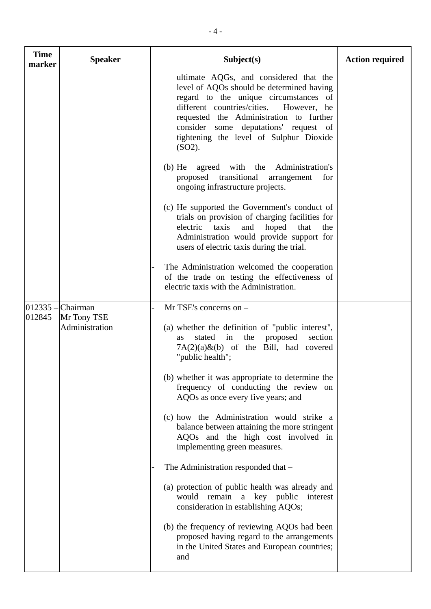| <b>Time</b><br>marker | <b>Speaker</b>                                       | Subject(s)                                                                                                                                                                                                                                                                                                                                                                                                                                                                                                 | <b>Action required</b> |
|-----------------------|------------------------------------------------------|------------------------------------------------------------------------------------------------------------------------------------------------------------------------------------------------------------------------------------------------------------------------------------------------------------------------------------------------------------------------------------------------------------------------------------------------------------------------------------------------------------|------------------------|
|                       |                                                      | ultimate AQGs, and considered that the<br>level of AQOs should be determined having<br>regard to the unique circumstances of<br>different countries/cities.<br>However, he<br>requested the Administration to further<br>consider some deputations' request of<br>tightening the level of Sulphur Dioxide<br>(SO2).                                                                                                                                                                                        |                        |
|                       |                                                      | the Administration's<br>$(b)$ He<br>agreed<br>with<br>proposed transitional<br>arrangement<br>for<br>ongoing infrastructure projects.                                                                                                                                                                                                                                                                                                                                                                      |                        |
|                       |                                                      | (c) He supported the Government's conduct of<br>trials on provision of charging facilities for<br>electric<br>taxis<br>and<br>hoped<br>that<br>the<br>Administration would provide support for<br>users of electric taxis during the trial.                                                                                                                                                                                                                                                                |                        |
|                       |                                                      | The Administration welcomed the cooperation<br>of the trade on testing the effectiveness of<br>electric taxis with the Administration.                                                                                                                                                                                                                                                                                                                                                                     |                        |
| 012845                | $012335$ - Chairman<br>Mr Tony TSE<br>Administration | Mr TSE's concerns on -<br>(a) whether the definition of "public interest",<br>proposed<br>section<br>stated<br>the<br>in<br><b>as</b><br>$7A(2)(a)$ &(b) of the Bill, had covered<br>"public health";<br>(b) whether it was appropriate to determine the<br>frequency of conducting the review on<br>AQOs as once every five years; and<br>(c) how the Administration would strike a<br>balance between attaining the more stringent<br>AQOs and the high cost involved in<br>implementing green measures. |                        |
|                       |                                                      | The Administration responded that -<br>(a) protection of public health was already and<br>remain<br>would<br>a key public<br>interest<br>consideration in establishing AQOs;                                                                                                                                                                                                                                                                                                                               |                        |
|                       |                                                      | (b) the frequency of reviewing AQOs had been<br>proposed having regard to the arrangements<br>in the United States and European countries;<br>and                                                                                                                                                                                                                                                                                                                                                          |                        |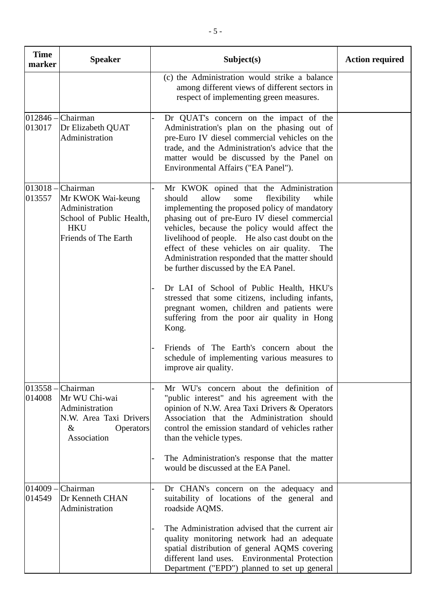| <b>Time</b><br>marker | <b>Speaker</b>                                                                                                               | Subject(s)                                                                                                                                                                                                                                                                                                                                                                                                                                    | <b>Action required</b> |
|-----------------------|------------------------------------------------------------------------------------------------------------------------------|-----------------------------------------------------------------------------------------------------------------------------------------------------------------------------------------------------------------------------------------------------------------------------------------------------------------------------------------------------------------------------------------------------------------------------------------------|------------------------|
|                       |                                                                                                                              | (c) the Administration would strike a balance<br>among different views of different sectors in<br>respect of implementing green measures.                                                                                                                                                                                                                                                                                                     |                        |
| $012846 -$<br>013017  | Chairman<br>Dr Elizabeth QUAT<br>Administration                                                                              | Dr QUAT's concern on the impact of the<br>Administration's plan on the phasing out of<br>pre-Euro IV diesel commercial vehicles on the<br>trade, and the Administration's advice that the<br>matter would be discussed by the Panel on<br>Environmental Affairs ("EA Panel").                                                                                                                                                                 |                        |
| 013557                | $013018$ - Chairman<br>Mr KWOK Wai-keung<br>Administration<br>School of Public Health,<br><b>HKU</b><br>Friends of The Earth | Mr KWOK opined that the Administration<br>allow<br>should<br>flexibility<br>while<br>some<br>implementing the proposed policy of mandatory<br>phasing out of pre-Euro IV diesel commercial<br>vehicles, because the policy would affect the<br>livelihood of people. He also cast doubt on the<br>effect of these vehicles on air quality.<br>The<br>Administration responded that the matter should<br>be further discussed by the EA Panel. |                        |
|                       |                                                                                                                              | Dr LAI of School of Public Health, HKU's<br>stressed that some citizens, including infants,<br>pregnant women, children and patients were<br>suffering from the poor air quality in Hong<br>Kong.                                                                                                                                                                                                                                             |                        |
|                       |                                                                                                                              | Friends of The Earth's concern about the<br>schedule of implementing various measures to<br>improve air quality.                                                                                                                                                                                                                                                                                                                              |                        |
| 014008                | $013558$ - Chairman<br>Mr WU Chi-wai<br>Administration<br>N.W. Area Taxi Drivers<br>$\&$<br><b>Operators</b><br>Association  | Mr WU's concern about the definition of<br>"public interest" and his agreement with the<br>opinion of N.W. Area Taxi Drivers & Operators<br>Association that the Administration should<br>control the emission standard of vehicles rather<br>than the vehicle types.                                                                                                                                                                         |                        |
|                       |                                                                                                                              | The Administration's response that the matter<br>would be discussed at the EA Panel.                                                                                                                                                                                                                                                                                                                                                          |                        |
| 014549                | $014009$ – Chairman<br>Dr Kenneth CHAN<br>Administration                                                                     | Dr CHAN's concern on the adequacy and<br>suitability of locations of the general and<br>roadside AQMS.                                                                                                                                                                                                                                                                                                                                        |                        |
|                       |                                                                                                                              | The Administration advised that the current air<br>quality monitoring network had an adequate<br>spatial distribution of general AQMS covering<br>different land uses. Environmental Protection<br>Department ("EPD") planned to set up general                                                                                                                                                                                               |                        |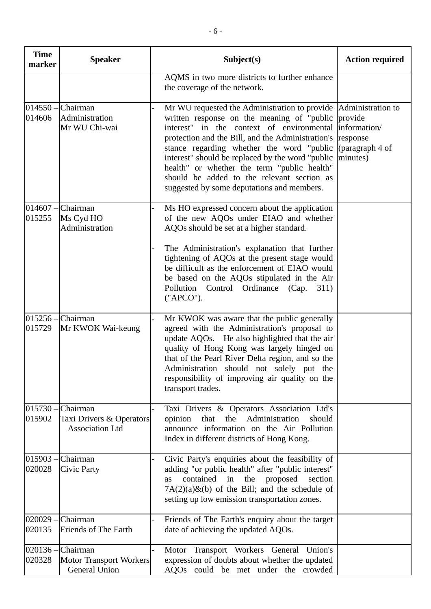| <b>Time</b><br>marker | <b>Speaker</b>                                                            | Subject(s)                                                                                                                                                                                                                                                                                                                                                                                                                                                    | <b>Action required</b>                                             |
|-----------------------|---------------------------------------------------------------------------|---------------------------------------------------------------------------------------------------------------------------------------------------------------------------------------------------------------------------------------------------------------------------------------------------------------------------------------------------------------------------------------------------------------------------------------------------------------|--------------------------------------------------------------------|
|                       |                                                                           | AQMS in two more districts to further enhance<br>the coverage of the network.                                                                                                                                                                                                                                                                                                                                                                                 |                                                                    |
| 014606                | $014550$ - Chairman<br>Administration<br>Mr WU Chi-wai                    | Mr WU requested the Administration to provide Administration to<br>written response on the meaning of "public<br>interest" in the context of environmental<br>protection and the Bill, and the Administration's<br>stance regarding whether the word "public"<br>interest" should be replaced by the word "public"<br>health" or whether the term "public health"<br>should be added to the relevant section as<br>suggested by some deputations and members. | provide<br>information/<br>response<br>(paragraph 4 of<br>minutes) |
| 015255                | $014607$ - Chairman<br>Ms Cyd HO<br>Administration                        | Ms HO expressed concern about the application<br>of the new AQOs under EIAO and whether<br>AQOs should be set at a higher standard.                                                                                                                                                                                                                                                                                                                           |                                                                    |
|                       |                                                                           | The Administration's explanation that further<br>tightening of AQOs at the present stage would<br>be difficult as the enforcement of EIAO would<br>be based on the AQOs stipulated in the Air<br>Pollution Control Ordinance (Cap.<br>311)<br>("APCO").                                                                                                                                                                                                       |                                                                    |
| 015729                | $015256$ - Chairman<br>Mr KWOK Wai-keung                                  | Mr KWOK was aware that the public generally<br>agreed with the Administration's proposal to<br>update AQOs. He also highlighted that the air<br>quality of Hong Kong was largely hinged on<br>that of the Pearl River Delta region, and so the<br>Administration should not solely put the<br>responsibility of improving air quality on the<br>transport trades.                                                                                             |                                                                    |
| 015902                | $015730$ - Chairman<br>Taxi Drivers & Operators<br><b>Association Ltd</b> | Taxi Drivers & Operators Association Ltd's<br>the<br>Administration<br>should<br>opinion<br>that<br>announce information on the Air Pollution<br>Index in different districts of Hong Kong.                                                                                                                                                                                                                                                                   |                                                                    |
| $015903 -$<br>020028  | Chairman<br>Civic Party                                                   | Civic Party's enquiries about the feasibility of<br>adding "or public health" after "public interest"<br>contained in the proposed<br>section<br>as<br>$7A(2)(a)$ &(b) of the Bill; and the schedule of<br>setting up low emission transportation zones.                                                                                                                                                                                                      |                                                                    |
| $020029 -$<br>020135  | Chairman<br>Friends of The Earth                                          | Friends of The Earth's enquiry about the target<br>date of achieving the updated AQOs.                                                                                                                                                                                                                                                                                                                                                                        |                                                                    |
| 020328                | $020136$ - Chairman<br><b>Motor Transport Workers</b><br>General Union    | Motor Transport Workers General Union's<br>expression of doubts about whether the updated<br>AQOs could be met under the crowded                                                                                                                                                                                                                                                                                                                              |                                                                    |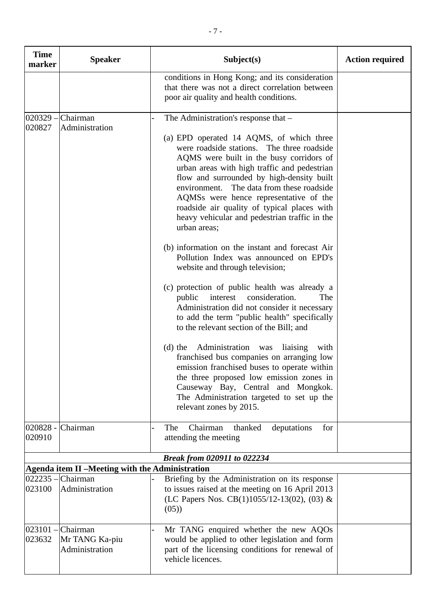| <b>Time</b><br>marker | <b>Speaker</b>                                                         | Subject(s)                                                                                                                                                                                                                                                                                                                                                                                                                             | <b>Action required</b> |
|-----------------------|------------------------------------------------------------------------|----------------------------------------------------------------------------------------------------------------------------------------------------------------------------------------------------------------------------------------------------------------------------------------------------------------------------------------------------------------------------------------------------------------------------------------|------------------------|
|                       |                                                                        | conditions in Hong Kong; and its consideration<br>that there was not a direct correlation between<br>poor air quality and health conditions.                                                                                                                                                                                                                                                                                           |                        |
|                       | $020329$ - Chairman                                                    | The Administration's response that –                                                                                                                                                                                                                                                                                                                                                                                                   |                        |
| 020827                | Administration                                                         | (a) EPD operated 14 AQMS, of which three<br>were roadside stations. The three roadside<br>AQMS were built in the busy corridors of<br>urban areas with high traffic and pedestrian<br>flow and surrounded by high-density built<br>environment. The data from these roadside<br>AQMSs were hence representative of the<br>roadside air quality of typical places with<br>heavy vehicular and pedestrian traffic in the<br>urban areas; |                        |
|                       |                                                                        | (b) information on the instant and forecast Air<br>Pollution Index was announced on EPD's<br>website and through television;                                                                                                                                                                                                                                                                                                           |                        |
|                       |                                                                        | (c) protection of public health was already a<br>consideration.<br>interest<br>The<br>public<br>Administration did not consider it necessary<br>to add the term "public health" specifically<br>to the relevant section of the Bill; and                                                                                                                                                                                               |                        |
|                       |                                                                        | Administration was<br>liaising<br>$(d)$ the<br>with<br>franchised bus companies on arranging low<br>emission franchised buses to operate within<br>the three proposed low emission zones in<br>Causeway Bay, Central and Mongkok.<br>The Administration targeted to set up the<br>relevant zones by 2015.                                                                                                                              |                        |
|                       | 020828 - Chairman                                                      | Chairman<br>The<br>thanked<br>deputations<br>for                                                                                                                                                                                                                                                                                                                                                                                       |                        |
| 020910                |                                                                        | attending the meeting                                                                                                                                                                                                                                                                                                                                                                                                                  |                        |
|                       |                                                                        | Break from 020911 to 022234                                                                                                                                                                                                                                                                                                                                                                                                            |                        |
|                       | Agenda item II -Meeting with the Administration<br>$022235$ - Chairman |                                                                                                                                                                                                                                                                                                                                                                                                                                        |                        |
| 023100                | Administration                                                         | Briefing by the Administration on its response<br>to issues raised at the meeting on 16 April 2013<br>(LC Papers Nos. CB(1)1055/12-13(02), (03) &<br>(05)                                                                                                                                                                                                                                                                              |                        |
| $023101 -$<br>023632  | Chairman<br>Mr TANG Ka-piu<br>Administration                           | Mr TANG enquired whether the new AQOs<br>would be applied to other legislation and form<br>part of the licensing conditions for renewal of<br>vehicle licences.                                                                                                                                                                                                                                                                        |                        |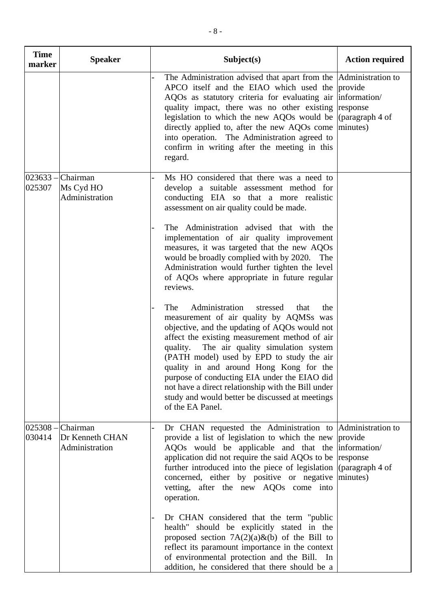| <b>Time</b><br>marker | <b>Speaker</b>                                     | Subject(s)                                                                                                                                                                                                                                                                                                                                                                                                                                                                                                          | <b>Action required</b> |
|-----------------------|----------------------------------------------------|---------------------------------------------------------------------------------------------------------------------------------------------------------------------------------------------------------------------------------------------------------------------------------------------------------------------------------------------------------------------------------------------------------------------------------------------------------------------------------------------------------------------|------------------------|
|                       |                                                    | The Administration advised that apart from the Administration to<br>APCO itself and the EIAO which used the<br>AQOs as statutory criteria for evaluating air information/<br>quality impact, there was no other existing<br>legislation to which the new AQOs would be $\alpha$ (paragraph 4 of<br>directly applied to, after the new AQOs come minutes)<br>into operation. The Administration agreed to<br>confirm in writing after the meeting in this<br>regard.                                                 | provide<br>response    |
| 025307                | $023633$ - Chairman<br>Ms Cyd HO<br>Administration | Ms HO considered that there was a need to<br>develop a suitable assessment method for<br>conducting EIA so that a more realistic<br>assessment on air quality could be made.                                                                                                                                                                                                                                                                                                                                        |                        |
|                       |                                                    | The Administration advised that with the<br>implementation of air quality improvement<br>measures, it was targeted that the new AQOs<br>would be broadly complied with by 2020. The<br>Administration would further tighten the level<br>of AQOs where appropriate in future regular<br>reviews.                                                                                                                                                                                                                    |                        |
|                       |                                                    | Administration<br>The<br>stressed<br>that<br>the<br>measurement of air quality by AQMSs was<br>objective, and the updating of AQOs would not<br>affect the existing measurement method of air<br>The air quality simulation system<br>quality.<br>(PATH model) used by EPD to study the air<br>quality in and around Hong Kong for the<br>purpose of conducting EIA under the EIAO did<br>not have a direct relationship with the Bill under<br>study and would better be discussed at meetings<br>of the EA Panel. |                        |
| $025308 -$<br>030414  | Chairman<br>Dr Kenneth CHAN<br>Administration      | Dr CHAN requested the Administration to Administration to<br>provide a list of legislation to which the new<br>AQOs would be applicable and that the information/<br>application did not require the said AQOs to be<br>further introduced into the piece of legislation (paragraph 4 of<br>concerned, either by positive or negative minutes)<br>vetting, after the new AQOs come into<br>operation.                                                                                                               | provide<br>response    |
|                       |                                                    | Dr CHAN considered that the term "public"<br>health" should be explicitly stated in the<br>proposed section $7A(2)(a)\&(b)$ of the Bill to<br>reflect its paramount importance in the context<br>of environmental protection and the Bill. In<br>addition, he considered that there should be a                                                                                                                                                                                                                     |                        |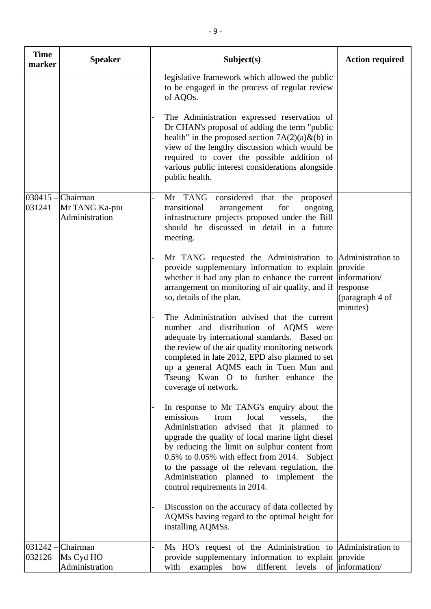| <b>Time</b><br>marker | <b>Speaker</b>                               | Subject(s)                                                                                                                                                                                                                                                                                                                                                                                                                                                                                                                                                                                                                                                                                                                                                                                                                                                                                                                                                                                                                                                                                                                                                                                                                                                                                                                                                                                 | <b>Action required</b>                  |
|-----------------------|----------------------------------------------|--------------------------------------------------------------------------------------------------------------------------------------------------------------------------------------------------------------------------------------------------------------------------------------------------------------------------------------------------------------------------------------------------------------------------------------------------------------------------------------------------------------------------------------------------------------------------------------------------------------------------------------------------------------------------------------------------------------------------------------------------------------------------------------------------------------------------------------------------------------------------------------------------------------------------------------------------------------------------------------------------------------------------------------------------------------------------------------------------------------------------------------------------------------------------------------------------------------------------------------------------------------------------------------------------------------------------------------------------------------------------------------------|-----------------------------------------|
|                       |                                              | legislative framework which allowed the public<br>to be engaged in the process of regular review<br>of AQOs.<br>The Administration expressed reservation of<br>Dr CHAN's proposal of adding the term "public"<br>health" in the proposed section $7A(2)(a) \& (b)$ in<br>view of the lengthy discussion which would be<br>required to cover the possible addition of<br>various public interest considerations alongside<br>public health.                                                                                                                                                                                                                                                                                                                                                                                                                                                                                                                                                                                                                                                                                                                                                                                                                                                                                                                                                 |                                         |
| $030415 -$<br>031241  | Chairman<br>Mr TANG Ka-piu<br>Administration | Mr TANG considered that the<br>proposed<br>transitional<br>for<br>ongoing<br>arrangement<br>infrastructure projects proposed under the Bill<br>should be discussed in detail in a future<br>meeting.<br>Mr TANG requested the Administration to Administration to<br>provide supplementary information to explain provide<br>whether it had any plan to enhance the current  information/<br>arrangement on monitoring of air quality, and if<br>so, details of the plan.<br>The Administration advised that the current<br>number and distribution of AQMS were<br>adequate by international standards. Based on<br>the review of the air quality monitoring network<br>completed in late 2012, EPD also planned to set<br>up a general AQMS each in Tuen Mun and<br>Tseung Kwan O to further enhance the<br>coverage of network.<br>In response to Mr TANG's enquiry about the<br>emissions<br>local<br>from<br>vessels,<br>the<br>Administration advised that it planned to<br>upgrade the quality of local marine light diesel<br>by reducing the limit on sulphur content from<br>0.5% to 0.05% with effect from 2014. Subject<br>to the passage of the relevant regulation, the<br>Administration planned to implement the<br>control requirements in 2014.<br>Discussion on the accuracy of data collected by<br>AQMSs having regard to the optimal height for<br>installing AQMSs. | response<br>(paragraph 4 of<br>minutes) |
| $031242 -$<br>032126  | Chairman<br>Ms Cyd HO<br>Administration      | Ms HO's request of the Administration to Administration to<br>provide supplementary information to explain provide<br>with examples how<br>different levels of information/                                                                                                                                                                                                                                                                                                                                                                                                                                                                                                                                                                                                                                                                                                                                                                                                                                                                                                                                                                                                                                                                                                                                                                                                                |                                         |